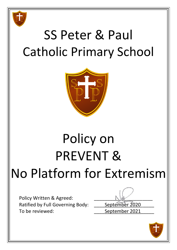

# SS Peter & Paul Catholic Primary School



# Policy on PREVENT & No Platform for Extremism

Policy Written & Agreed: Ratified by Full Governing Body: \_\_\_\_\_ September 2020 To be reviewed: To be reviewed:

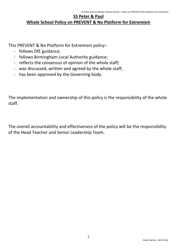## **SS Peter & Paul Whole School Policy on PREVENT & No Platform for Extremism**

This PREVENT & No Platform for Extremism policy:-

- follows DfE guidance;
- follows Birmingham Local Authority guidance;
- reflects the consensus of opinion of the whole staff;
- was discussed, written and agreed by the whole staff;
- has been approved by the Governing body.

The implementation and ownership of this policy is the responsibility of the whole staff.

The overall accountability and effectiveness of the policy will be the responsibility of the Head Teacher and Senior Leadership Team.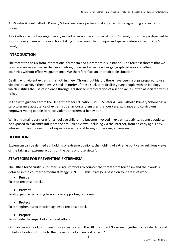At SS Peter & Paul Catholic Primary School we take a professional approach to safeguarding and extremism prevention.

As a Catholic school we regard every individual as unique and special in God's family. This policy is designed to support every member of our school, taking into account their unique and special nature as part of God's family.

## **INTRODUCTION**

The threat to the UK from international terrorism and extremism is substantial. The terrorist threats that we now face are more diverse than ever before, dispersed across a wider geographical area and often in countries without effective governance. We therefore face an unpredictable situation.

Dealing with violent extremism is nothing new. Throughout history there have been groups prepared to use violence to achieve their aims. A small minority of these seek to radicalise young people with an ideology which justifies the use of violence through a distorted interpretation of a set of values (often associated with a religion).

In line with guidance from the Department for Education (DfE), SS Peter & Paul Catholic Primary School has a zero tolerance acceptance of extremist behaviour and ensures that our care, guidance and curriculum empower young people to reject violent or extremist behaviour.

Whilst it remains very rare for school age children to become involved in extremist activity, young people can be exposed to extremist influences or prejudiced views, including via the internet, from an early age. Early intervention and prevention of exposure are preferable ways of tackling extremism.

## **DEFINITION**

Extremism can be defined as "holding of extreme opinions: the holding of extreme political or religious views or the taking of extreme actions on the basis of those views".

## **STRATEGIES FOR PREVENTING EXTREMISM**

The Office for Security & Counter Terrorism works to counter the threat from terrorism and their work is detailed in the counter terrorism strategy CONTEST. This strategy is based on four areas of work:

## **Pursue**

To stop terrorist attacks

## **Prevent**

To stop people becoming terrorists or supporting terrorism

#### **Protect**

To strengthen our protection against a terrorist attack

#### **Prepare**

To mitigate the impact of a terrorist attack

Our role, as a school, is outlined more specifically in the DfE document 'Learning together to be safe: A toolkit to help schools contribute to the prevention of violent extremism.'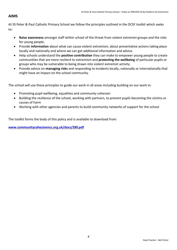## **AIMS**

At SS Peter & Paul Catholic Primary School we follow the principles outlined in the DCSF toolkit which seeks to:

- **Raise awareness** amongst staff within school of the threat from violent extremist groups and the risks for young people.
- Provide **information** about what can cause violent extremism, about preventative actions taking place locally and nationally and where we can get additional information and advice.
- Help schools understand the **positive contribution** they can make to empower young people to create communities that are more resilient to extremism and **protecting the wellbeing** of particular pupils or groups who may be vulnerable to being drawn into violent extremist activity.
- Provide advice on **managing risks** and responding to incidents locally, nationally or internationally that might have an impact on the school community.

The school will use these principles to guide our work in all areas including building on our work in:

- Promoting pupil wellbeing, equalities and community cohesion
- Building the resilience of the school, working with partners, to prevent pupils becoming the victims or causes of harm
- Working with other agencies and parents to build community networks of support for the school

The toolkit forms the body of this policy and is available to download from:

**[www.communitycohesionncc.org.uk/docs/280.pdf](http://www.communitycohesionncc.org.uk/docs/280.pdf)**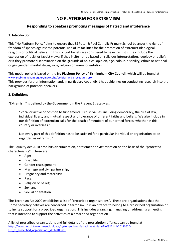## **NO PLATFORM FOR EXTREMISM**

## **Responding to speakers promoting messages of hatred and intolerance**

#### **1. Introduction**

This "No Platform Policy" aims to ensure that SS Peter & Paul Catholic Primary School balances the right of freedom of speech against the potential use of its facilities for the promotion of extremist ideological, religious or political beliefs. In this context beliefs are considered to be extremist if they include the expression of racist or fascist views; if they incite hatred based on religious interpretation, ideology or belief; or if they promote discrimination on the grounds of political opinion, age, colour, disability, ethnic or national origin, gender, marital status, race, religion or sexual orientation.

This model policy is based on the **No Platform Policy of Birmingham City Council**, which will be found at [www.lscbbirmingham.org.uk/index.php/policies-and-procedures-pro](http://www.lscbbirmingham.org.uk/index.php/policies-and-procedures-pro) This provides further information and, in particular, Appendix 1 has guidelines on conducting research into the background of potential speakers.

#### **2. Definitions**

"Extremism" is defined by the Government in the Prevent Strategy as:

"Vocal or active opposition to fundamental British values, including democracy, the rule of law, individual liberty and mutual respect and tolerance of different faiths and beliefs. We also include in our definition of extremism calls for the death of members of our armed forces, whether in this country or overseas."

Not every part of this definition has to be satisfied for a particular individual or organisation to be regarded as extremist."

The Equality Act 2010 prohibits discrimination, harassment or victimisation on the basis of the "protected characteristics". These are:

- Age;
- Disability;
- Gender reassignment;
- Marriage and civil partnership;
- Pregnancy and maternity:
- Race;
- Religion or belief;
- Sex: and
- Sexual orientation.

The Terrorism Act 2000 establishes a list of "proscribed organisations". These are organisations that the Home Secretary believes are concerned in terrorism. It is an offence to belong to a proscribed organisation or to invite support for a proscribed organisation. This includes arranging, managing or addressing a meeting that is intended to support the activities of a proscribed organisation

A list of proscribed organisations and full details of the proscription offences can be found at [https://www.gov.uk/government/uploads/system/uploads/attachment\\_data/file/322142/20140620-](https://www.gov.uk/government/uploads/system/uploads/attachment_data/file/322142/20140620-List_of_Proscribed_organisations_WEBSITE.pdf) List of Proscribed organisations WEBSITE.pdf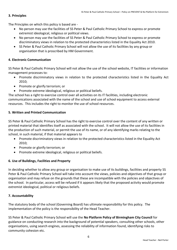### **3. Principles**

The Principles on which this policy is based are -

- No person may use the facilities of SS Peter & Paul Catholic Primary School to express or promote extremist ideological, religious or political views.
- No person may use the facilities of SS Peter & Paul Catholic Primary School to express or promote discriminatory views in relation to the protected characteristics listed in the Equality Act 2010.
- SS Peter & Paul Catholic Primary School will not allow the use of its facilities by any group or organisation that is proscribed by HM Government.

### **4. Electronic Communication**

SS Peter & Paul Catholic Primary School will not allow the use of the school website, IT facilities or information management processes to:

- Promote discriminatory views in relation to the protected characteristics listed in the Equality Act 2010;
- Promote or glorify terrorism; or
- Promote extreme ideological, religious or political beliefs.

The school has a right to exercise control over all activities on its IT facilities, including electronic communications associated with the name of the school and use of school equipment to access external resources. This includes the right to monitor the use of school resources.

### **5. Written and Printed Communication**

SS Peter & Paul Catholic Primary School has the right to exercise control over the content of any written or printed material that identifies itself as associated with the school. It will not allow the use of its facilities in the production of such material, or permit the use of its name, or of any identifying marks relating to the school, in such material, if that material appears to

- Promote discriminatory views in relation to the protected characteristics listed in the Equality Act 2010;
- Promote or glorify terrorism; or
- Promote extreme ideological, religious or political beliefs.

## **6. Use of Buildings, Facilities and Property**

In deciding whether to allow any group or organisation to make use of its buildings, facilities and property SS Peter & Paul Catholic Primary School will take into account the views, policies and objectives of that group or organisation and may refuse on the grounds that these are incompatible with the policies and objectives of the school. In particular, access will be refused if it appears likely that the proposed activity would promote extremist ideological, political or religious beliefs.

#### **7. Accountability**

The statutory body of the school (Governing Board) has ultimate responsibility for this policy. The implementation of the policy is the responsibility of the Head Teacher.

SS Peter & Paul Catholic Primary School will use the **No Platform Policy of Birmingham City Council** for guidance on conducting research into the background of potential speakers, consulting other schools, other organisations, using search engines, assessing the reliability of information found, identifying risks to community cohesion etc.